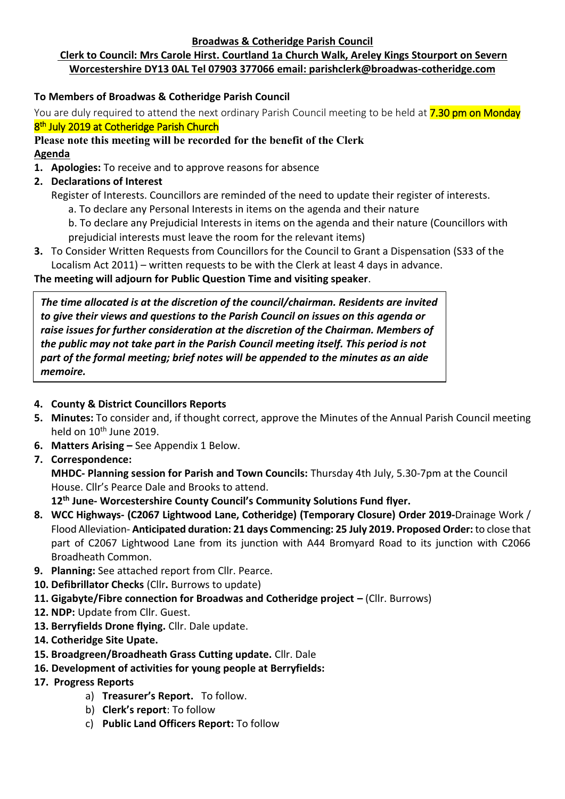#### **Broadwas & Cotheridge Parish Council**

# **Clerk to Council: Mrs Carole Hirst. Courtland 1a Church Walk, Areley Kings Stourport on Severn Worcestershire DY13 0AL Tel 07903 377066 email: parishclerk@broadwas-cotheridge.com**

# **To Members of Broadwas & Cotheridge Parish Council**

You are duly required to attend the next ordinary Parish Council meeting to be held at **7.30 pm on Monday** 8<sup>th</sup> July 2019 at Cotheridge Parish Church

## **Please note this meeting will be recorded for the benefit of the Clerk Agenda**

- **1. Apologies:** To receive and to approve reasons for absence
- **2. Declarations of Interest**
	- Register of Interests. Councillors are reminded of the need to update their register of interests.
		- a. To declare any Personal Interests in items on the agenda and their nature
		- b. To declare any Prejudicial Interests in items on the agenda and their nature (Councillors with prejudicial interests must leave the room for the relevant items)
- **3.** To Consider Written Requests from Councillors for the Council to Grant a Dispensation (S33 of the Localism Act 2011) – written requests to be with the Clerk at least 4 days in advance.

## **The meeting will adjourn for Public Question Time and visiting speaker**.

*The time allocated is at the discretion of the council/chairman. Residents are invited to give their views and questions to the Parish Council on issues on this agenda or raise issues for further consideration at the discretion of the Chairman. Members of the public may not take part in the Parish Council meeting itself. This period is not part of the formal meeting; brief notes will be appended to the minutes as an aide memoire.*

# **4. County & District Councillors Reports**

- **5. Minutes:** To consider and, if thought correct, approve the Minutes of the Annual Parish Council meeting held on 10<sup>th</sup> June 2019.
- **6. Matters Arising –** See Appendix 1 Below.
- **7. Correspondence:**

**MHDC- Planning session for Parish and Town Councils:** Thursday 4th July, 5.30-7pm at the Council House. Cllr's Pearce Dale and Brooks to attend.

**12th June- Worcestershire County Council's Community Solutions Fund flyer.**

- **8. WCC Highways- (C2067 Lightwood Lane, Cotheridge) (Temporary Closure) Order 2019-**Drainage Work / Flood Alleviation- **Anticipated duration: 21 days Commencing: 25 July 2019. Proposed Order:** to close that part of C2067 Lightwood Lane from its junction with A44 Bromyard Road to its junction with C2066 Broadheath Common.
- **9. Planning:** See attached report from Cllr. Pearce.
- **10. Defibrillator Checks** (Cllr**.** Burrows to update)
- **11. Gigabyte/Fibre connection for Broadwas and Cotheridge project –** (Cllr. Burrows)
- **12. NDP:** Update from Cllr. Guest.
- **13. Berryfields Drone flying.** Cllr. Dale update.
- **14. Cotheridge Site Upate.**
- **15. Broadgreen/Broadheath Grass Cutting update.** Cllr. Dale
- **16. Development of activities for young people at Berryfields:**
- **17. Progress Reports**
	- a) **Treasurer's Report.** To follow.
	- b) **Clerk's report**: To follow
	- c) **Public Land Officers Report:** To follow